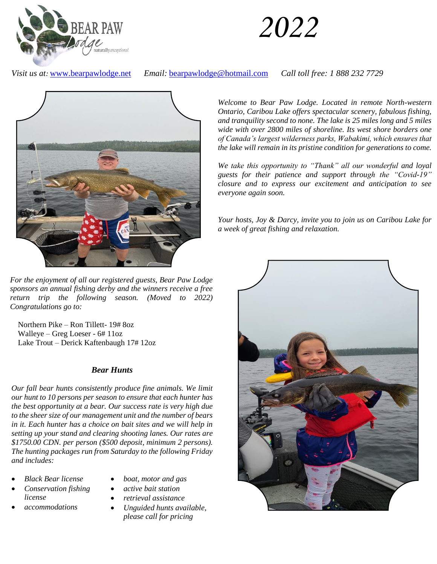

# *2022*

*Visit us at:* [www.bearpawlodge.net](http://www.bearpawlodge.net/) *Email:* [bearpawlodge@hotmail.com](mailto:bearpawlodge@hotmail.com) *Call toll free: 1 888 232 7729*



*For the enjoyment of all our registered guests, Bear Paw Lodge sponsors an annual fishing derby and the winners receive a free return trip the following season. (Moved to 2022) Congratulations go to:*

 Northern Pike – Ron Tillett- 19# 8oz Walleye – Greg Loeser - 6# 11oz Lake Trout – Derick Kaftenbaugh 17# 12oz

## *Bear Hunts*

*Our fall bear hunts consistently produce fine animals. We limit our hunt to 10 persons per season to ensure that each hunter has the best opportunity at a bear. Our success rate is very high due to the sheer size of our management unit and the number of bears in it. Each hunter has a choice on bait sites and we will help in setting up your stand and clearing shooting lanes. Our rates are \$1750.00 CDN. per person (\$500 deposit, minimum 2 persons). The hunting packages run from Saturday to the following Friday and includes:*

- *Black Bear license*
- *Conservation fishing license*
- *accommodations*
- *boat, motor and gas*
- *active bait station*
- *retrieval assistance*
- *Unguided hunts available, please call for pricing*

*Welcome to Bear Paw Lodge. Located in remote North-western Ontario, Caribou Lake offers spectacular scenery, fabulous fishing, and tranquility second to none. The lake is 25 miles long and 5 miles wide with over 2800 miles of shoreline. Its west shore borders one of Canada's largest wilderness parks, Wabakimi, which ensures that the lake will remain in its pristine condition for generations to come.* 

*We take this opportunity to "Thank" all our wonderful and loyal guests for their patience and support through the "Covid-19" closure and to express our excitement and anticipation to see everyone again soon.*

*Your hosts, Joy & Darcy, invite you to join us on Caribou Lake for a week of great fishing and relaxation.*